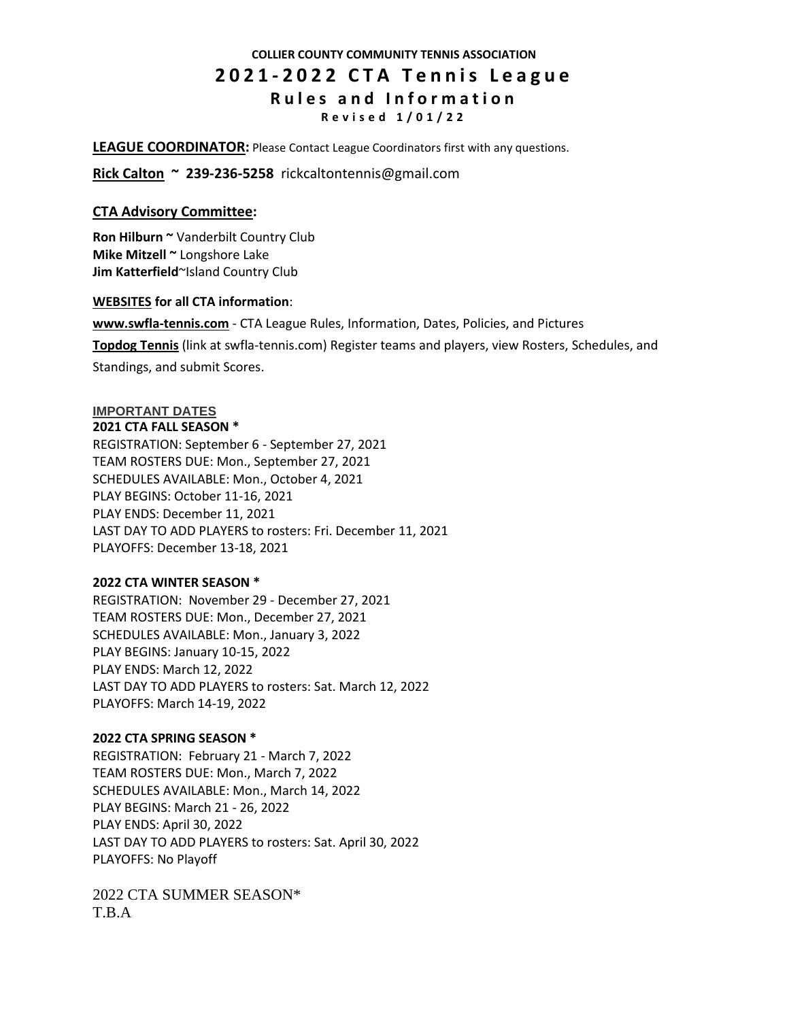# **COLLIER COUNTY COMMUNITY TENNIS ASSOCIATION 2 0 2 1 - 2 0 2 2 C T A T e n n i s L e a g u e R u l e s a n d I n f o r m a t i o n R e v i s e d 1 / 0 1 / 2 2**

**LEAGUE COORDINATOR:** Please Contact League Coordinators first with any questions.

**Rick Calton ~ 239-236-5258** rickcaltontennis@gmail.com

# **CTA Advisory Committee:**

**Ron Hilburn ~** Vanderbilt Country Club **Mike Mitzell ~** Longshore Lake **Jim Katterfield**~Island Country Club

# **WEBSITES for all CTA information**:

**[www.swfla-tennis.com](http://www.swfla-tennis.com/)** - CTA League Rules, Information, Dates, Policies, and Pictures **[Topdog](http://www.swfla-tennis.com/www.leaguesforfun.com) Tennis** (link at swfla-tennis.com) Register teams and players, view Rosters, Schedules, and Standings, and submit Scores.

## **IMPORTANT DATES 2021 CTA FALL SEASON \***

REGISTRATION: September 6 - September 27, 2021 TEAM ROSTERS DUE: Mon., September 27, 2021 SCHEDULES AVAILABLE: Mon., October 4, 2021 PLAY BEGINS: October 11-16, 2021 PLAY ENDS: December 11, 2021 LAST DAY TO ADD PLAYERS to rosters: Fri. December 11, 2021 PLAYOFFS: December 13-18, 2021

# **2022 CTA WINTER SEASON \***

REGISTRATION: November 29 - December 27, 2021 TEAM ROSTERS DUE: Mon., December 27, 2021 SCHEDULES AVAILABLE: Mon., January 3, 2022 PLAY BEGINS: January 10-15, 2022 PLAY ENDS: March 12, 2022 LAST DAY TO ADD PLAYERS to rosters: Sat. March 12, 2022 PLAYOFFS: March 14-19, 2022

# **2022 CTA SPRING SEASON \***

REGISTRATION: February 21 - March 7, 2022 TEAM ROSTERS DUE: Mon., March 7, 2022 SCHEDULES AVAILABLE: Mon., March 14, 2022 PLAY BEGINS: March 21 - 26, 2022 PLAY ENDS: April 30, 2022 LAST DAY TO ADD PLAYERS to rosters: Sat. April 30, 2022 PLAYOFFS: No Playoff

2022 CTA SUMMER SEASON\* T.B.A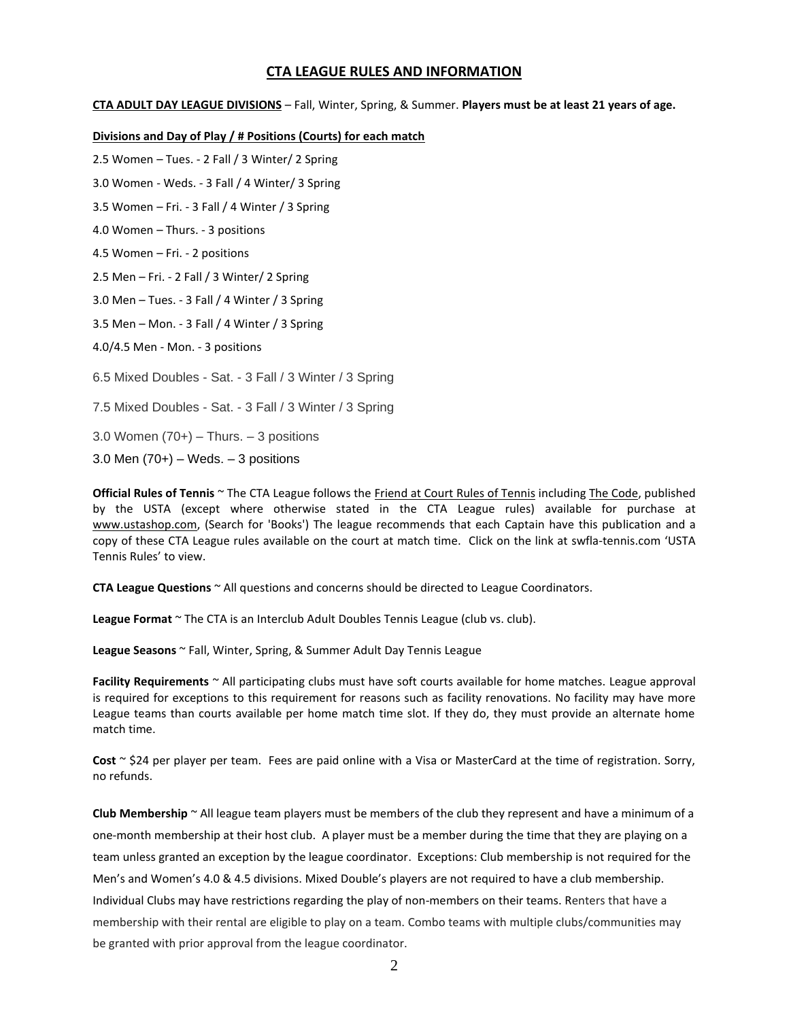# **CTA LEAGUE RULES AND INFORMATION**

**CTA ADULT DAY LEAGUE DIVISIONS** – Fall, Winter, Spring, & Summer. **Players must be at least 21 years of age.** 

#### **Divisions and Day of Play / # Positions (Courts) for each match**

2.5 Women – Tues. - 2 Fall / 3 Winter/ 2 Spring

3.0 Women - Weds. - 3 Fall / 4 Winter/ 3 Spring

3.5 Women – Fri. - 3 Fall / 4 Winter / 3 Spring

4.0 Women – Thurs. - 3 positions

4.5 Women – Fri. - 2 positions

2.5 Men – Fri. - 2 Fall / 3 Winter/ 2 Spring

3.0 Men – Tues. - 3 Fall / 4 Winter / 3 Spring

3.5 Men – Mon. - 3 Fall / 4 Winter / 3 Spring

4.0/4.5 Men - Mon. - 3 positions

6.5 Mixed Doubles - Sat. - 3 Fall / 3 Winter / 3 Spring

7.5 Mixed Doubles - Sat. - 3 Fall / 3 Winter / 3 Spring

3.0 Women  $(70+)$  – Thurs. – 3 positions

3.0 Men  $(70+)$  – Weds. – 3 positions

**Official Rules of Tennis** ~ The CTA League follows the Friend at Court Rules of Tennis including The Code, published by the USTA (except where otherwise stated in the CTA League rules) available for purchase at [www.ustashop.com,](http://www.ustashop.com/) (Search for 'Books') The league recommends that each Captain have this publication and a copy of these CTA League rules available on the court at match time. Click on the link at swfla-tennis.com 'USTA Tennis Rules' to view.

**CTA League Questions** ~ All questions and concerns should be directed to League Coordinators.

**League Format** ~ The CTA is an Interclub Adult Doubles Tennis League (club vs. club).

**League Seasons** ~ Fall, Winter, Spring, & Summer Adult Day Tennis League

**Facility Requirements** ~ All participating clubs must have soft courts available for home matches. League approval is required for exceptions to this requirement for reasons such as facility renovations. No facility may have more League teams than courts available per home match time slot. If they do, they must provide an alternate home match time.

**Cost** ~ \$24 per player per team. Fees are paid online with a Visa or MasterCard at the time of registration. Sorry, no refunds.

**Club Membership** ~ All league team players must be members of the club they represent and have a minimum of a one-month membership at their host club. A player must be a member during the time that they are playing on a team unless granted an exception by the league coordinator. Exceptions: Club membership is not required for the Men's and Women's 4.0 & 4.5 divisions. Mixed Double's players are not required to have a club membership. Individual Clubs may have restrictions regarding the play of non-members on their teams. Renters that have a membership with their rental are eligible to play on a team. Combo teams with multiple clubs/communities may be granted with prior approval from the league coordinator.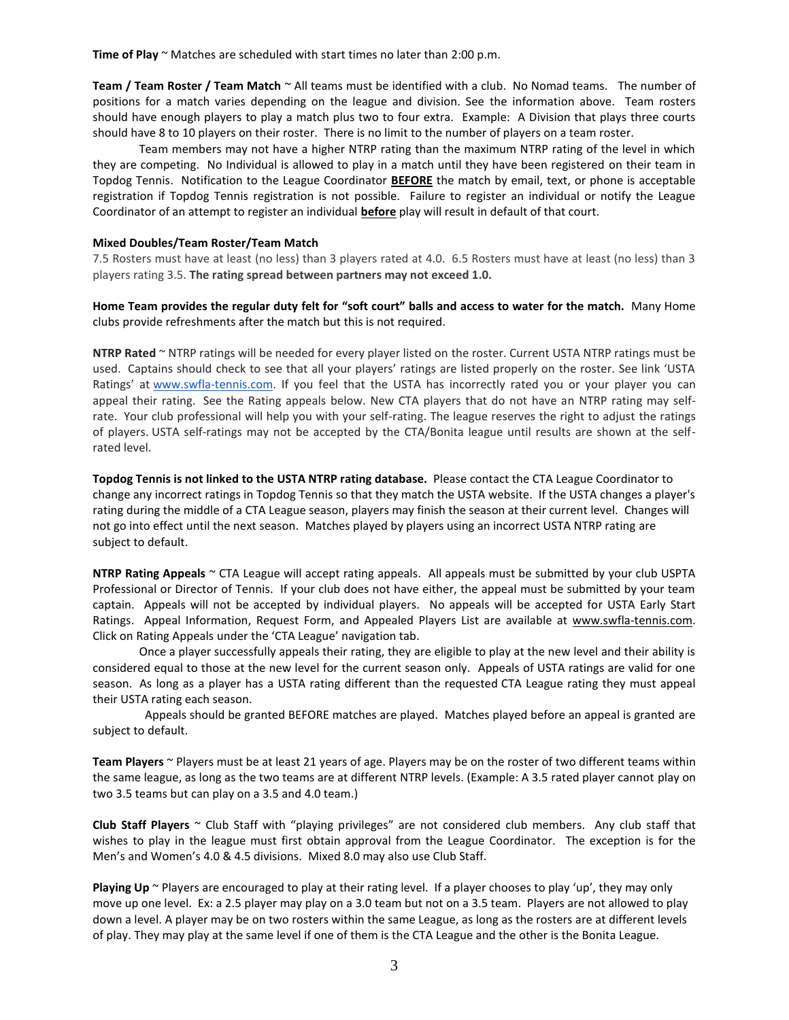**Time of Play** ~ Matches are scheduled with start times no later than 2:00 p.m.

**Team / Team Roster / Team Match** ~ All teams must be identified with a club. No Nomad teams. The number of positions for a match varies depending on the league and division. See the information above. Team rosters should have enough players to play a match plus two to four extra. Example: A Division that plays three courts should have 8 to 10 players on their roster. There is no limit to the number of players on a team roster.

Team members may not have a higher NTRP rating than the maximum NTRP rating of the level in which they are competing. No Individual is allowed to play in a match until they have been registered on their team in Topdog Tennis. Notification to the League Coordinator **BEFORE** the match by email, text, or phone is acceptable registration if Topdog Tennis registration is not possible. Failure to register an individual or notify the League Coordinator of an attempt to register an individual **before** play will result in default of that court.

#### **Mixed Doubles/Team Roster/Team Match**

7.5 Rosters must have at least (no less) than 3 players rated at 4.0. 6.5 Rosters must have at least (no less) than 3 players rating 3.5. **The rating spread between partners may not exceed 1.0.**

### **Home Team provides the regular duty felt for "soft court" balls and access to water for the match.** Many Home clubs provide refreshments after the match but this is not required.

**NTRP Rated** ~ NTRP ratings will be needed for every player listed on the roster. Current USTA NTRP ratings must be used. Captains should check to see that all your players' ratings are listed properly on the roster. See link 'USTA Ratings' at [www.swfla-tennis.com.](http://www.swfla-tennis.com/) If you feel that the USTA has incorrectly rated you or your player you can appeal their rating. See the Rating appeals below. New CTA players that do not have an NTRP rating may selfrate. Your club professional will help you with your self-rating. The league reserves the right to adjust the ratings of players. USTA self-ratings may not be accepted by the CTA/Bonita league until results are shown at the selfrated level.

**Topdog Tennis is not linked to the USTA NTRP rating database.** Please contact the CTA League Coordinator to change any incorrect ratings in Topdog Tennis so that they match the USTA website. If the USTA changes a player's rating during the middle of a CTA League season, players may finish the season at their current level. Changes will not go into effect until the next season. Matches played by players using an incorrect USTA NTRP rating are subject to default.

**NTRP Rating Appeals** ~ CTA League will accept rating appeals. All appeals must be submitted by your club USPTA Professional or Director of Tennis. If your club does not have either, the appeal must be submitted by your team captain. Appeals will not be accepted by individual players. No appeals will be accepted for USTA Early Start Ratings. Appeal Information, Request Form, and Appealed Players List are available at [www.swfla-tennis.com.](http://www.swfla-tennis.com/) Click on Rating Appeals under the 'CTA League' navigation tab.

Once a player successfully appeals their rating, they are eligible to play at the new level and their ability is considered equal to those at the new level for the current season only. Appeals of USTA ratings are valid for one season. As long as a player has a USTA rating different than the requested CTA League rating they must appeal their USTA rating each season.

Appeals should be granted BEFORE matches are played. Matches played before an appeal is granted are subject to default.

**Team Players** ~ Players must be at least 21 years of age. Players may be on the roster of two different teams within the same league, as long as the two teams are at different NTRP levels. (Example: A 3.5 rated player cannot play on two 3.5 teams but can play on a 3.5 and 4.0 team.)

**Club Staff Players** ~ Club Staff with "playing privileges" are not considered club members. Any club staff that wishes to play in the league must first obtain approval from the League Coordinator. The exception is for the Men's and Women's 4.0 & 4.5 divisions. Mixed 8.0 may also use Club Staff.

**Playing Up** ~ Players are encouraged to play at their rating level. If a player chooses to play 'up', they may only move up one level. Ex: a 2.5 player may play on a 3.0 team but not on a 3.5 team. Players are not allowed to play down a level. A player may be on two rosters within the same League, as long as the rosters are at different levels of play. They may play at the same level if one of them is the CTA League and the other is the Bonita League.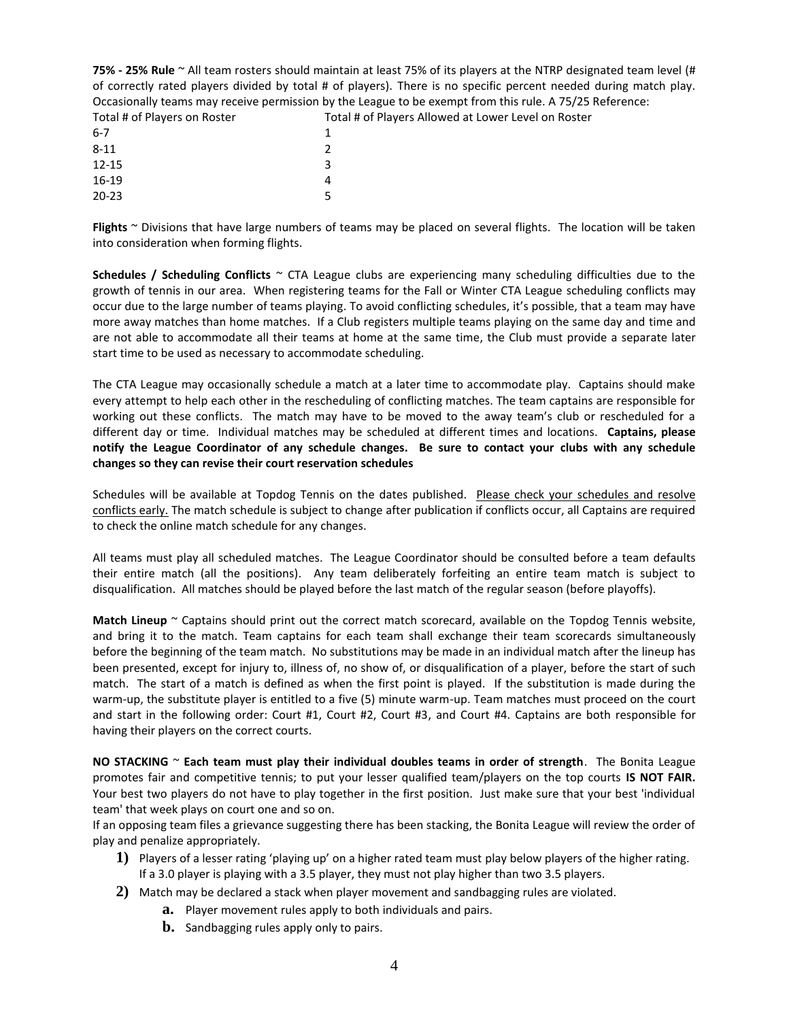| 75% - 25% Rule $\sim$ All team rosters should maintain at least 75% of its players at the NTRP designated team level (# |                                                                                                                   |
|-------------------------------------------------------------------------------------------------------------------------|-------------------------------------------------------------------------------------------------------------------|
|                                                                                                                         | of correctly rated players divided by total # of players). There is no specific percent needed during match play. |
| Occasionally teams may receive permission by the League to be exempt from this rule. A 75/25 Reference:                 |                                                                                                                   |
| Total # of Players on Roster                                                                                            | Total # of Players Allowed at Lower Level on Roster                                                               |
| $6 - 7$                                                                                                                 |                                                                                                                   |
| $8 - 11$                                                                                                                |                                                                                                                   |
| $12 - 15$                                                                                                               |                                                                                                                   |
| $16-19$                                                                                                                 | 4                                                                                                                 |
| $20 - 23$                                                                                                               |                                                                                                                   |

**Flights** ~ Divisions that have large numbers of teams may be placed on several flights. The location will be taken into consideration when forming flights.

**Schedules / Scheduling Conflicts** ~ CTA League clubs are experiencing many scheduling difficulties due to the growth of tennis in our area. When registering teams for the Fall or Winter CTA League scheduling conflicts may occur due to the large number of teams playing. To avoid conflicting schedules, it's possible, that a team may have more away matches than home matches. If a Club registers multiple teams playing on the same day and time and are not able to accommodate all their teams at home at the same time, the Club must provide a separate later start time to be used as necessary to accommodate scheduling.

The CTA League may occasionally schedule a match at a later time to accommodate play. Captains should make every attempt to help each other in the rescheduling of conflicting matches. The team captains are responsible for working out these conflicts. The match may have to be moved to the away team's club or rescheduled for a different day or time. Individual matches may be scheduled at different times and locations. **Captains, please notify the League Coordinator of any schedule changes. Be sure to contact your clubs with any schedule changes so they can revise their court reservation schedules**

Schedules will be available at Topdog Tennis on the dates published. Please check your schedules and resolve conflicts early. The match schedule is subject to change after publication if conflicts occur, all Captains are required to check the online match schedule for any changes.

All teams must play all scheduled matches. The League Coordinator should be consulted before a team defaults their entire match (all the positions). Any team deliberately forfeiting an entire team match is subject to disqualification. All matches should be played before the last match of the regular season (before playoffs).

**Match Lineup** ~ Captains should print out the correct match scorecard, available on the Topdog Tennis website, and bring it to the match. Team captains for each team shall exchange their team scorecards simultaneously before the beginning of the team match. No substitutions may be made in an individual match after the lineup has been presented, except for injury to, illness of, no show of, or disqualification of a player, before the start of such match. The start of a match is defined as when the first point is played. If the substitution is made during the warm-up, the substitute player is entitled to a five (5) minute warm-up. Team matches must proceed on the court and start in the following order: Court #1, Court #2, Court #3, and Court #4. Captains are both responsible for having their players on the correct courts.

**NO STACKING** ~ **Each team must play their individual doubles teams in order of strength**. The Bonita League promotes fair and competitive tennis; to put your lesser qualified team/players on the top courts **IS NOT FAIR.**  Your best two players do not have to play together in the first position. Just make sure that your best 'individual team' that week plays on court one and so on.

If an opposing team files a grievance suggesting there has been stacking, the Bonita League will review the order of play and penalize appropriately.

- **1)** Players of a lesser rating 'playing up' on a higher rated team must play below players of the higher rating. If a 3.0 player is playing with a 3.5 player, they must not play higher than two 3.5 players.
- **2)** Match may be declared a stack when player movement and sandbagging rules are violated.
	- **a.** Player movement rules apply to both individuals and pairs.
		- **b.** Sandbagging rules apply only to pairs.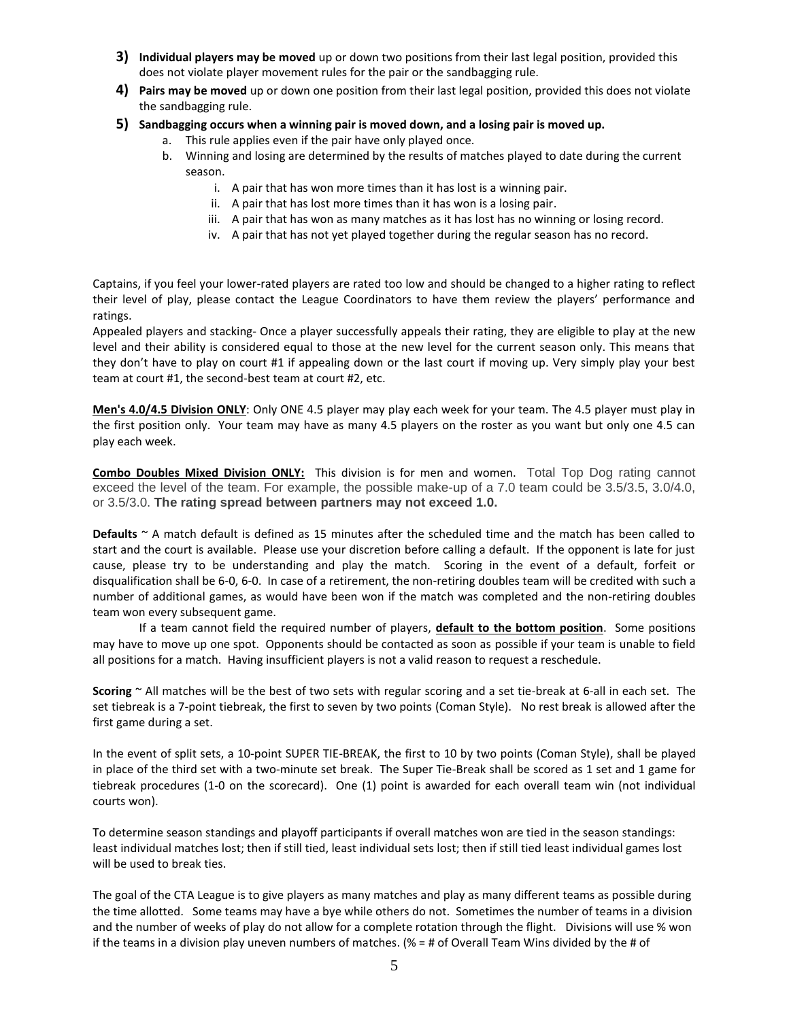- **3) Individual players may be moved** up or down two positions from their last legal position, provided this does not violate player movement rules for the pair or the sandbagging rule.
- **4) Pairs may be moved** up or down one position from their last legal position, provided this does not violate the sandbagging rule.
- **5) Sandbagging occurs when a winning pair is moved down, and a losing pair is moved up.**
	- a. This rule applies even if the pair have only played once.
		- b. Winning and losing are determined by the results of matches played to date during the current season.
			- i. A pair that has won more times than it has lost is a winning pair.
			- ii. A pair that has lost more times than it has won is a losing pair.
			- iii. A pair that has won as many matches as it has lost has no winning or losing record.
			- iv. A pair that has not yet played together during the regular season has no record.

Captains, if you feel your lower-rated players are rated too low and should be changed to a higher rating to reflect their level of play, please contact the League Coordinators to have them review the players' performance and ratings.

Appealed players and stacking- Once a player successfully appeals their rating, they are eligible to play at the new level and their ability is considered equal to those at the new level for the current season only. This means that they don't have to play on court #1 if appealing down or the last court if moving up. Very simply play your best team at court #1, the second-best team at court #2, etc.

**Men's 4.0/4.5 Division ONLY**: Only ONE 4.5 player may play each week for your team. The 4.5 player must play in the first position only. Your team may have as many 4.5 players on the roster as you want but only one 4.5 can play each week.

**Combo Doubles Mixed Division ONLY:** This division is for men and women. Total Top Dog rating cannot exceed the level of the team. For example, the possible make-up of a 7.0 team could be 3.5/3.5, 3.0/4.0, or 3.5/3.0. **The rating spread between partners may not exceed 1.0.**

**Defaults** ~ A match default is defined as 15 minutes after the scheduled time and the match has been called to start and the court is available. Please use your discretion before calling a default. If the opponent is late for just cause, please try to be understanding and play the match. Scoring in the event of a default, forfeit or disqualification shall be 6-0, 6-0. In case of a retirement, the non-retiring doubles team will be credited with such a number of additional games, as would have been won if the match was completed and the non-retiring doubles team won every subsequent game.

If a team cannot field the required number of players, **default to the bottom position**. Some positions may have to move up one spot. Opponents should be contacted as soon as possible if your team is unable to field all positions for a match. Having insufficient players is not a valid reason to request a reschedule.

**Scoring** ~ All matches will be the best of two sets with regular scoring and a set tie-break at 6-all in each set. The set tiebreak is a 7-point tiebreak, the first to seven by two points (Coman Style). No rest break is allowed after the first game during a set.

In the event of split sets, a 10-point SUPER TIE-BREAK, the first to 10 by two points (Coman Style), shall be played in place of the third set with a two-minute set break. The Super Tie-Break shall be scored as 1 set and 1 game for tiebreak procedures (1-0 on the scorecard). One (1) point is awarded for each overall team win (not individual courts won).

To determine season standings and playoff participants if overall matches won are tied in the season standings: least individual matches lost; then if still tied, least individual sets lost; then if still tied least individual games lost will be used to break ties.

The goal of the CTA League is to give players as many matches and play as many different teams as possible during the time allotted. Some teams may have a bye while others do not. Sometimes the number of teams in a division and the number of weeks of play do not allow for a complete rotation through the flight. Divisions will use % won if the teams in a division play uneven numbers of matches. (% = # of Overall Team Wins divided by the # of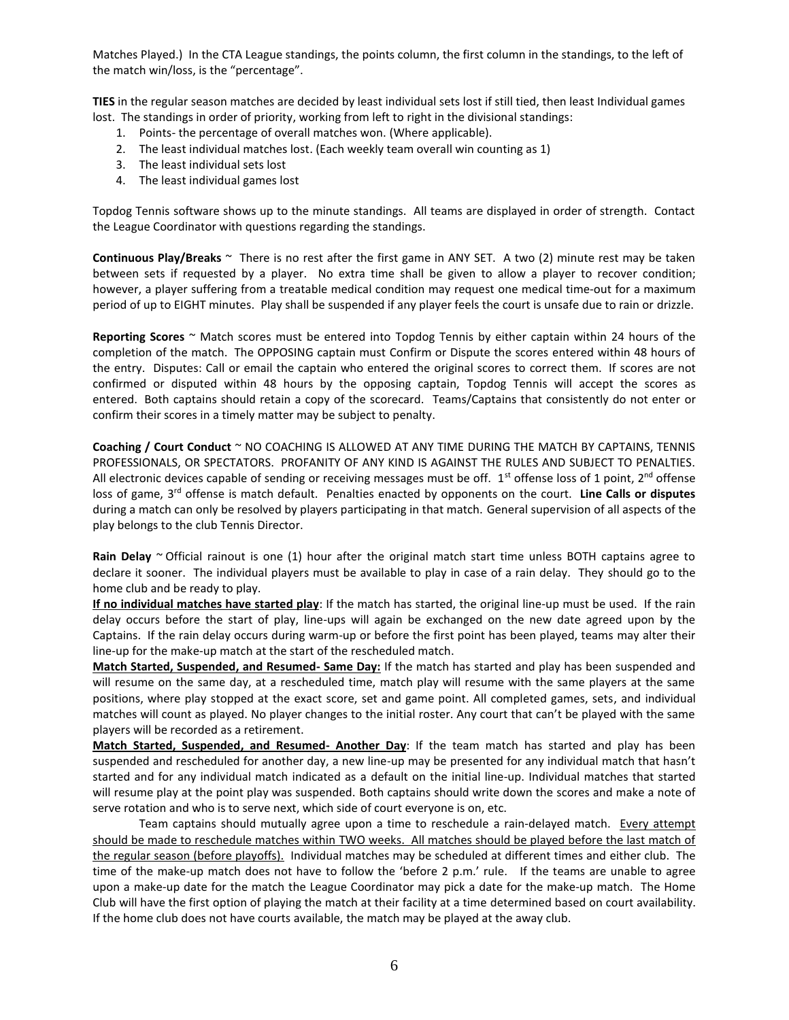Matches Played.) In the CTA League standings, the points column, the first column in the standings, to the left of the match win/loss, is the "percentage".

**TIES** in the regular season matches are decided by least individual sets lost if still tied, then least Individual games lost. The standings in order of priority, working from left to right in the divisional standings:

- 1. Points- the percentage of overall matches won. (Where applicable).
- 2. The least individual matches lost. (Each weekly team overall win counting as 1)
- 3. The least individual sets lost
- 4. The least individual games lost

Topdog Tennis software shows up to the minute standings. All teams are displayed in order of strength. Contact the League Coordinator with questions regarding the standings.

**Continuous Play/Breaks** ~ There is no rest after the first game in ANY SET. A two (2) minute rest may be taken between sets if requested by a player. No extra time shall be given to allow a player to recover condition; however, a player suffering from a treatable medical condition may request one medical time-out for a maximum period of up to EIGHT minutes. Play shall be suspended if any player feels the court is unsafe due to rain or drizzle.

**Reporting Scores** ~ Match scores must be entered into Topdog Tennis by either captain within 24 hours of the completion of the match. The OPPOSING captain must Confirm or Dispute the scores entered within 48 hours of the entry. Disputes: Call or email the captain who entered the original scores to correct them. If scores are not confirmed or disputed within 48 hours by the opposing captain, Topdog Tennis will accept the scores as entered. Both captains should retain a copy of the scorecard. Teams/Captains that consistently do not enter or confirm their scores in a timely matter may be subject to penalty.

**Coaching / Court Conduct** ~ NO COACHING IS ALLOWED AT ANY TIME DURING THE MATCH BY CAPTAINS, TENNIS PROFESSIONALS, OR SPECTATORS. PROFANITY OF ANY KIND IS AGAINST THE RULES AND SUBJECT TO PENALTIES. All electronic devices capable of sending or receiving messages must be off.  $1^{st}$  offense loss of 1 point,  $2^{nd}$  offense loss of game, 3rd offense is match default. Penalties enacted by opponents on the court. **Line Calls or disputes** during a match can only be resolved by players participating in that match. General supervision of all aspects of the play belongs to the club Tennis Director.

**Rain Delay** ~ Official rainout is one (1) hour after the original match start time unless BOTH captains agree to declare it sooner. The individual players must be available to play in case of a rain delay. They should go to the home club and be ready to play.

**If no individual matches have started play**: If the match has started, the original line-up must be used. If the rain delay occurs before the start of play, line-ups will again be exchanged on the new date agreed upon by the Captains. If the rain delay occurs during warm-up or before the first point has been played, teams may alter their line-up for the make-up match at the start of the rescheduled match.

**Match Started, Suspended, and Resumed- Same Day:** If the match has started and play has been suspended and will resume on the same day, at a rescheduled time, match play will resume with the same players at the same positions, where play stopped at the exact score, set and game point. All completed games, sets, and individual matches will count as played. No player changes to the initial roster. Any court that can't be played with the same players will be recorded as a retirement.

**Match Started, Suspended, and Resumed- Another Day**: If the team match has started and play has been suspended and rescheduled for another day, a new line-up may be presented for any individual match that hasn't started and for any individual match indicated as a default on the initial line-up. Individual matches that started will resume play at the point play was suspended. Both captains should write down the scores and make a note of serve rotation and who is to serve next, which side of court everyone is on, etc.

Team captains should mutually agree upon a time to reschedule a rain-delayed match. Every attempt should be made to reschedule matches within TWO weeks. All matches should be played before the last match of the regular season (before playoffs). Individual matches may be scheduled at different times and either club. The time of the make-up match does not have to follow the 'before 2 p.m.' rule. If the teams are unable to agree upon a make-up date for the match the League Coordinator may pick a date for the make-up match. The Home Club will have the first option of playing the match at their facility at a time determined based on court availability. If the home club does not have courts available, the match may be played at the away club.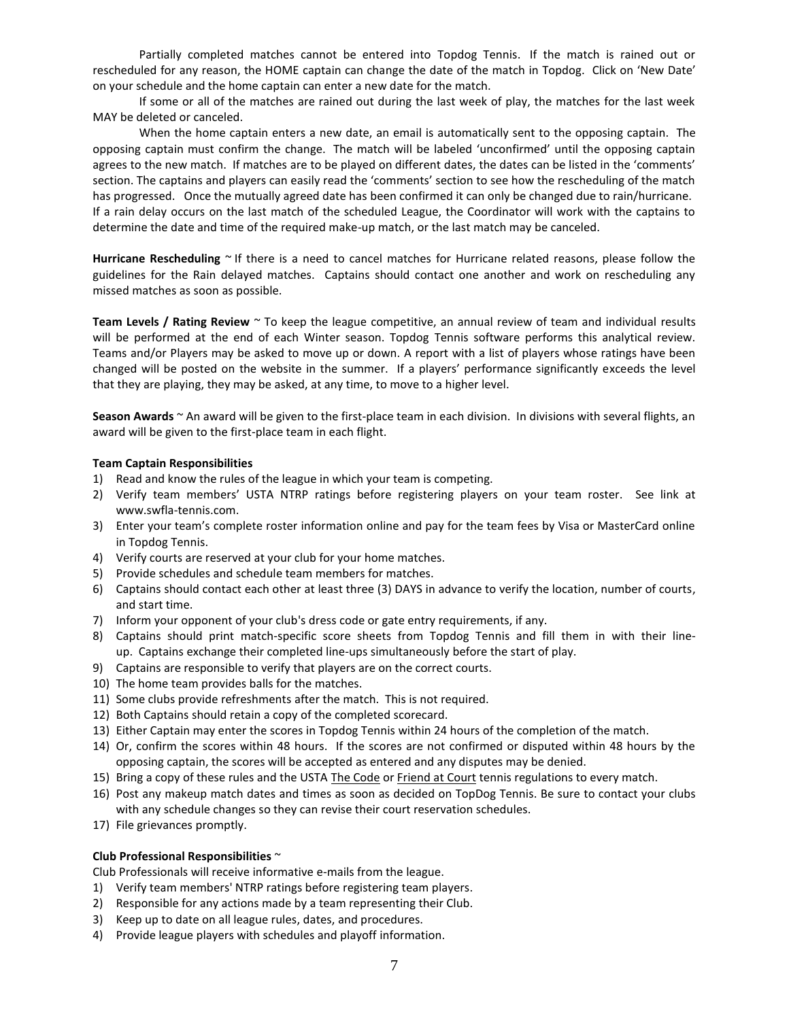Partially completed matches cannot be entered into Topdog Tennis. If the match is rained out or rescheduled for any reason, the HOME captain can change the date of the match in Topdog. Click on 'New Date' on your schedule and the home captain can enter a new date for the match.

If some or all of the matches are rained out during the last week of play, the matches for the last week MAY be deleted or canceled.

When the home captain enters a new date, an email is automatically sent to the opposing captain. The opposing captain must confirm the change. The match will be labeled 'unconfirmed' until the opposing captain agrees to the new match. If matches are to be played on different dates, the dates can be listed in the 'comments' section. The captains and players can easily read the 'comments' section to see how the rescheduling of the match has progressed. Once the mutually agreed date has been confirmed it can only be changed due to rain/hurricane. If a rain delay occurs on the last match of the scheduled League, the Coordinator will work with the captains to determine the date and time of the required make-up match, or the last match may be canceled.

**Hurricane Rescheduling** ~ If there is a need to cancel matches for Hurricane related reasons, please follow the guidelines for the Rain delayed matches. Captains should contact one another and work on rescheduling any missed matches as soon as possible.

**Team Levels / Rating Review** ~ To keep the league competitive, an annual review of team and individual results will be performed at the end of each Winter season. Topdog Tennis software performs this analytical review. Teams and/or Players may be asked to move up or down. A report with a list of players whose ratings have been changed will be posted on the website in the summer. If a players' performance significantly exceeds the level that they are playing, they may be asked, at any time, to move to a higher level.

**Season Awards** ~ An award will be given to the first-place team in each division. In divisions with several flights, an award will be given to the first-place team in each flight.

#### **Team Captain Responsibilities**

- 1) Read and know the rules of the league in which your team is competing.
- 2) Verify team members' USTA NTRP ratings before registering players on your team roster. See link at www.swfla-tennis.com.
- 3) Enter your team's complete roster information online and pay for the team fees by Visa or MasterCard online in Topdog Tennis.
- 4) Verify courts are reserved at your club for your home matches.
- 5) Provide schedules and schedule team members for matches.
- 6) Captains should contact each other at least three (3) DAYS in advance to verify the location, number of courts, and start time.
- 7) Inform your opponent of your club's dress code or gate entry requirements, if any.
- 8) Captains should print match-specific score sheets from Topdog Tennis and fill them in with their lineup. Captains exchange their completed line-ups simultaneously before the start of play.
- 9) Captains are responsible to verify that players are on the correct courts.
- 10) The home team provides balls for the matches.
- 11) Some clubs provide refreshments after the match. This is not required.
- 12) Both Captains should retain a copy of the completed scorecard.
- 13) Either Captain may enter the scores in Topdog Tennis within 24 hours of the completion of the match.
- 14) Or, confirm the scores within 48 hours. If the scores are not confirmed or disputed within 48 hours by the opposing captain, the scores will be accepted as entered and any disputes may be denied.
- 15) Bring a copy of these rules and the USTA The Code or Friend at Court tennis regulations to every match.
- 16) Post any makeup match dates and times as soon as decided on TopDog Tennis. Be sure to contact your clubs with any schedule changes so they can revise their court reservation schedules.
- 17) File grievances promptly.

#### **Club Professional Responsibilities** ~

Club Professionals will receive informative e-mails from the league.

- 1) Verify team members' NTRP ratings before registering team players.
- 2) Responsible for any actions made by a team representing their Club.
- 3) Keep up to date on all league rules, dates, and procedures.
- 4) Provide league players with schedules and playoff information.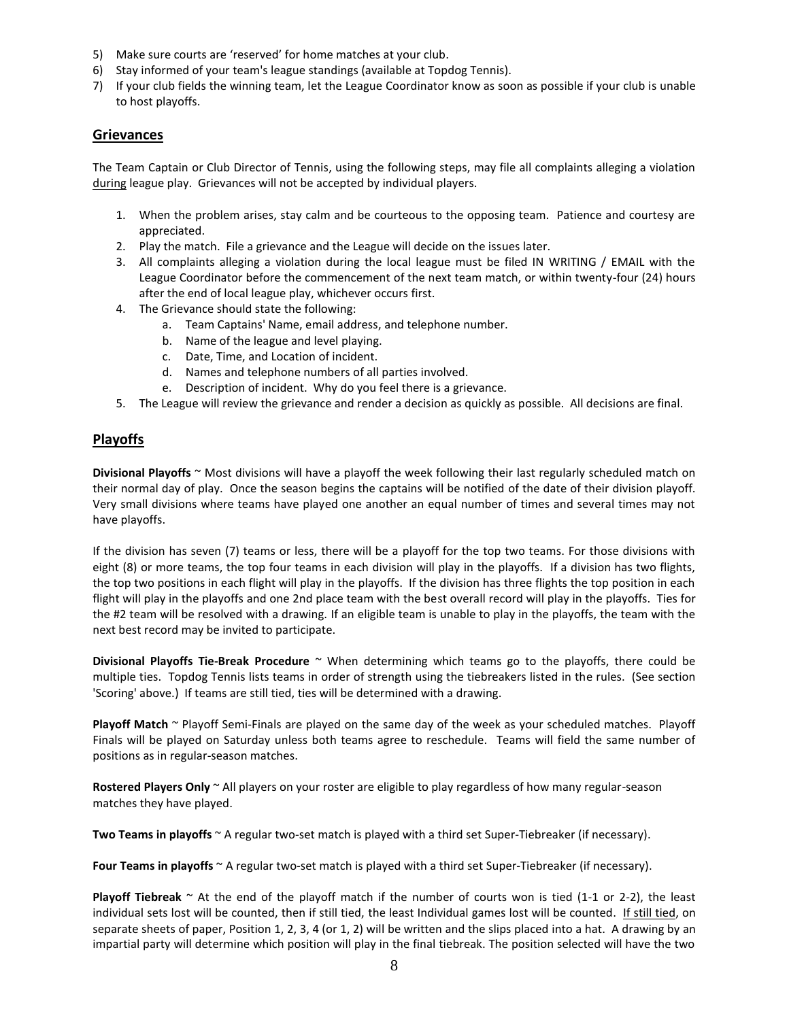- 5) Make sure courts are 'reserved' for home matches at your club.
- 6) Stay informed of your team's league standings (available at Topdog Tennis).
- 7) If your club fields the winning team, let the League Coordinator know as soon as possible if your club is unable to host playoffs.

# **Grievances**

The Team Captain or Club Director of Tennis, using the following steps, may file all complaints alleging a violation during league play. Grievances will not be accepted by individual players.

- 1. When the problem arises, stay calm and be courteous to the opposing team. Patience and courtesy are appreciated.
- 2. Play the match. File a grievance and the League will decide on the issues later.
- 3. All complaints alleging a violation during the local league must be filed IN WRITING / EMAIL with the League Coordinator before the commencement of the next team match, or within twenty-four (24) hours after the end of local league play, whichever occurs first.
- 4. The Grievance should state the following:
	- a. Team Captains' Name, email address, and telephone number.
	- b. Name of the league and level playing.
	- c. Date, Time, and Location of incident.
	- d. Names and telephone numbers of all parties involved.
	- e. Description of incident. Why do you feel there is a grievance.
- 5. The League will review the grievance and render a decision as quickly as possible. All decisions are final.

# **Playoffs**

**Divisional Playoffs** ~ Most divisions will have a playoff the week following their last regularly scheduled match on their normal day of play. Once the season begins the captains will be notified of the date of their division playoff. Very small divisions where teams have played one another an equal number of times and several times may not have playoffs.

If the division has seven (7) teams or less, there will be a playoff for the top two teams. For those divisions with eight (8) or more teams, the top four teams in each division will play in the playoffs. If a division has two flights, the top two positions in each flight will play in the playoffs. If the division has three flights the top position in each flight will play in the playoffs and one 2nd place team with the best overall record will play in the playoffs. Ties for the #2 team will be resolved with a drawing. If an eligible team is unable to play in the playoffs, the team with the next best record may be invited to participate.

**Divisional Playoffs Tie-Break Procedure** ~ When determining which teams go to the playoffs, there could be multiple ties. Topdog Tennis lists teams in order of strength using the tiebreakers listed in the rules. (See section 'Scoring' above.) If teams are still tied, ties will be determined with a drawing.

**Playoff Match** ~ Playoff Semi-Finals are played on the same day of the week as your scheduled matches. Playoff Finals will be played on Saturday unless both teams agree to reschedule. Teams will field the same number of positions as in regular-season matches.

**Rostered Players Only** ~ All players on your roster are eligible to play regardless of how many regular-season matches they have played.

**Two Teams in playoffs** ~ A regular two-set match is played with a third set Super-Tiebreaker (if necessary).

**Four Teams in playoffs** ~ A regular two-set match is played with a third set Super-Tiebreaker (if necessary).

**Playoff Tiebreak** ~ At the end of the playoff match if the number of courts won is tied (1-1 or 2-2), the least individual sets lost will be counted, then if still tied, the least Individual games lost will be counted. If still tied, on separate sheets of paper, Position 1, 2, 3, 4 (or 1, 2) will be written and the slips placed into a hat. A drawing by an impartial party will determine which position will play in the final tiebreak. The position selected will have the two